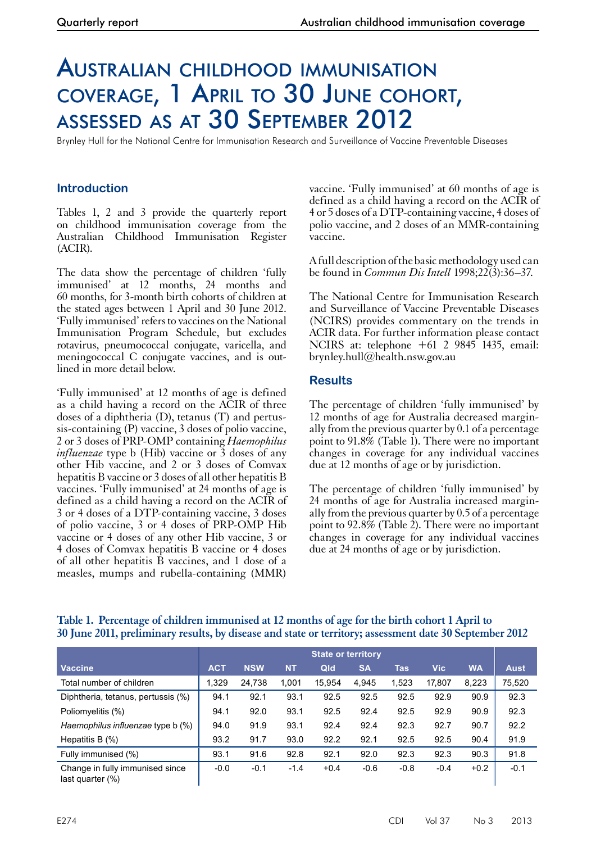# Australian childhood immunisation coverage, 1 April to 30 June cohort, assessed as at 30 September 2012

Brynley Hull for the National Centre for Immunisation Research and Surveillance of Vaccine Preventable Diseases

## **Introduction**

Tables 1, 2 and 3 provide the quarterly report on childhood immunisation coverage from the Australian Childhood Immunisation Register (ACIR).

The data show the percentage of children 'fully immunised' at 12 months, 24 months and 60 months, for 3-month birth cohorts of children at the stated ages between 1 April and 30 June 2012. 'Fully immunised' refers to vaccines on the National Immunisation Program Schedule, but excludes rotavirus, pneumococcal conjugate, varicella, and meningococcal C conjugate vaccines, and is outlined in more detail below.

'Fully immunised' at 12 months of age is defined as a child having a record on the ACIR of three doses of a diphtheria (D), tetanus (T) and pertussis-containing (P) vaccine, 3 doses of polio vaccine, 2 or 3 doses of PRP-OMP containing *Haemophilus influenzae* type b (Hib) vaccine or 3 doses of any other Hib vaccine, and 2 or 3 doses of Comvax hepatitis B vaccine or 3 doses of all other hepatitis B vaccines. 'Fully immunised' at 24 months of age is defined as a child having a record on the ACIR of 3 or 4 doses of a DTP-containing vaccine, 3 doses of polio vaccine, 3 or 4 doses of PRP-OMP Hib vaccine or 4 doses of any other Hib vaccine, 3 or 4 doses of Comvax hepatitis B vaccine or 4 doses of all other hepatitis B vaccines, and 1 dose of a measles, mumps and rubella-containing (MMR)

vaccine. 'Fully immunised' at 60 months of age is defined as a child having a record on the ACIR of 4 or 5 doses of a DTP-containing vaccine, 4 doses of polio vaccine, and 2 doses of an MMR-containing vaccine.

A full description of the basic methodology used can be found in *Commun Dis Intell* 1998;22(3):36–37.

The National Centre for Immunisation Research and Surveillance of Vaccine Preventable Diseases (NCIRS) provides commentary on the trends in ACIR data. For further information please contact NCIRS at: telephone +61 2 9845 1435, email: brynley.hull@health.nsw.gov.au

### **Results**

The percentage of children 'fully immunised' by 12 months of age for Australia decreased marginally from the previous quarter by 0.1 of a percentage point to 91.8% (Table 1). There were no important changes in coverage for any individual vaccines due at 12 months of age or by jurisdiction.

The percentage of children 'fully immunised' by <sup>24</sup> months of age for Australia increased margin- ally from the previous quarter by 0.5 of a percentage point to 92.8% (Table 2). There were no important changes in coverage for any individual vaccines due at 24 months of age or by jurisdiction.

|                                                     | <b>State or territory</b> |            |           |        |           |            |            |           |             |
|-----------------------------------------------------|---------------------------|------------|-----------|--------|-----------|------------|------------|-----------|-------------|
| <b>Vaccine</b>                                      | <b>ACT</b>                | <b>NSW</b> | <b>NT</b> | Qld    | <b>SA</b> | <b>Tas</b> | <b>Vic</b> | <b>WA</b> | <b>Aust</b> |
| Total number of children                            | 1,329                     | 24,738     | 1.001     | 15.954 | 4,945     | 1,523      | 17,807     | 8,223     | 75,520      |
| Diphtheria, tetanus, pertussis (%)                  | 94.1                      | 92.1       | 93.1      | 92.5   | 92.5      | 92.5       | 92.9       | 90.9      | 92.3        |
| Poliomyelitis (%)                                   | 94.1                      | 92.0       | 93.1      | 92.5   | 92.4      | 92.5       | 92.9       | 90.9      | 92.3        |
| Haemophilus influenzae type b (%)                   | 94.0                      | 91.9       | 93.1      | 92.4   | 92.4      | 92.3       | 92.7       | 90.7      | 92.2        |
| Hepatitis B $(\%)$                                  | 93.2                      | 91.7       | 93.0      | 92.2   | 92.1      | 92.5       | 92.5       | 90.4      | 91.9        |
| Fully immunised (%)                                 | 93.1                      | 91.6       | 92.8      | 92.1   | 92.0      | 92.3       | 92.3       | 90.3      | 91.8        |
| Change in fully immunised since<br>last quarter (%) | $-0.0$                    | $-0.1$     | $-1.4$    | $+0.4$ | $-0.6$    | $-0.8$     | $-0.4$     | $+0.2$    | $-0.1$      |

### **Table 1. Percentage of children immunised at 12 months of age for the birth cohort 1 April to 30 June 2011, preliminary results, by disease and state or territory; assessment date 30 September 2012**